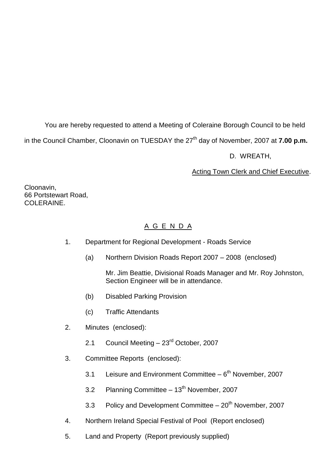You are hereby requested to attend a Meeting of Coleraine Borough Council to be held

in the Council Chamber, Cloonavin on TUESDAY the 27<sup>th</sup> day of November, 2007 at **7.00 p.m.** 

D. WREATH,

Acting Town Clerk and Chief Executive.

Cloonavin, 66 Portstewart Road, COLERAINE

# A G E N D A

- 1. Department for Regional Development Roads Service
	- (a) Northern Division Roads Report 2007 –2008 (enclosed)

Mr. Jim Beattie, Divisional Roads Manager and Mr. Roy Johnston, Section Engineer will be in attendance.

- (b) Disabled Parking Provision
- (c) Traffic Attendants
- 2. Minutes (enclosed):
	- 2.1 Council Meeting  $-23<sup>rd</sup>$  October, 2007
- 3. Committee Reports (enclosed):
	- 3.1 Leisure and Environment Committee 6<sup>th</sup> November, 2007
	- 3.2 Planning Committee  $-13<sup>th</sup>$  November, 2007
	- 3.3 Policy and Development Committee  $-20<sup>th</sup>$  November, 2007
- 4. Northern Ireland Special Festival of Pool (Report enclosed)
- 5. Land and Property (Report previously supplied)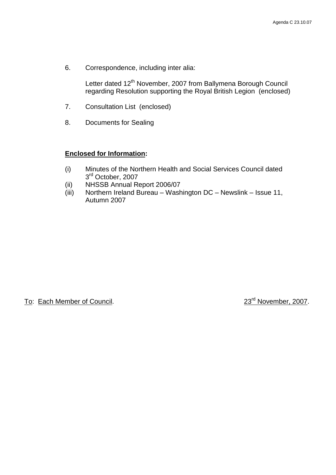6. Correspondence, including inter alia:

Letter dated 12<sup>th</sup> November, 2007 from Ballymena Borough Council regarding Resolution supporting the Royal British Legion (enclosed)

- 7. Consultation List (enclosed)
- 8. Documents for Sealing

#### **Enclosed for Information:**

- (i) Minutes of the Northern Health and Social Services Council dated 3<sup>rd</sup> October, 2007
- (ii) NHSSB Annual Report 2006/07
- (iii) Northern Ireland Bureau Washington DC Newslink Issue 11, Autumn 2007

To: Each Member of Council. 23<sup>rd</sup> November, 2007.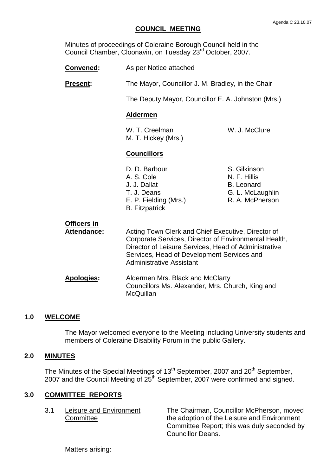### **COUNCIL MEETING**

Minutes of proceedings of Coleraine Borough Council held in the Council Chamber, Cloonavin, on Tuesday 23rd October, 2007.

- **Convened:** As per Notice attached
- **Present:** The Mayor, Councillor J. M. Bradley, in the Chair

The Deputy Mayor, Councillor E. A. Johnston (Mrs.)

#### **Aldermen**

W. T. Creelman W. J. McClure M. T. Hickey (Mrs.)

#### **Councillors**

| D. D. Barbour         |  |
|-----------------------|--|
| A. S. Cole            |  |
| J. J. Dallat          |  |
| T. J. Deans           |  |
| E. P. Fielding (Mrs.) |  |
| <b>B.</b> Fitzpatrick |  |

- S. Gilkinson N. F. Hillis B. Leonard G. L. McLaughlin R. A. McPherson
- **Officers in** Attendance: Acting Town Clerk and Chief Executive, Director of Corporate Services, Director of Environmental Health, Director of Leisure Services, Head of Administrative Services, Head of Development Services and Administrative Assistant **Apologies:** Aldermen Mrs. Black and McClarty Councillors Ms. Alexander, Mrs. Church, King and **McQuillan**

#### **1.0 WELCOME**

The Mayor welcomed everyone to the Meeting including University students and members of Coleraine Disability Forum in the public Gallery.

#### **2.0 MINUTES**

The Minutes of the Special Meetings of 13<sup>th</sup> September, 2007 and 20<sup>th</sup> September, 2007 and the Council Meeting of 25th September, 2007 were confirmed and signed.

#### **3.0 COMMITTEE REPORTS**

3.1 Leisure and Environment The Chairman, Councillor McPherson, moved Committee **the adoption of the Leisure and Environment** Committee Report; this was duly seconded by Councillor Deans.

Matters arising: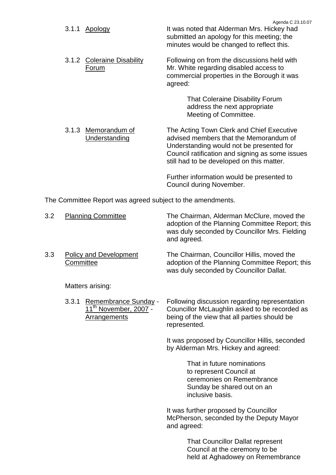| 3.1.1 Apology                        | Agenda C 23.10.07<br>It was noted that Alderman Mrs. Hickey had<br>submitted an apology for this meeting; the<br>minutes would be changed to reflect this.                                                                      |
|--------------------------------------|---------------------------------------------------------------------------------------------------------------------------------------------------------------------------------------------------------------------------------|
| 3.1.2 Coleraine Disability<br>Forum  | Following on from the discussions held with<br>Mr. White regarding disabled access to<br>commercial properties in the Borough it was<br>agreed:                                                                                 |
|                                      | That Coleraine Disability Forum<br>address the next appropriate<br>Meeting of Committee.                                                                                                                                        |
| 3.1.3 Memorandum of<br>Understanding | The Acting Town Clerk and Chief Executive<br>advised members that the Memorandum of<br>Understanding would not be presented for<br>Council ratification and signing as some issues<br>still had to be developed on this matter. |
|                                      | Further information would be presented to                                                                                                                                                                                       |

Council during November.

The Committee Report was agreed subject to the amendments.

| 3.2 |       | <b>Planning Committee</b>                                                        | The Chairman, Alderman McClure, moved the<br>adoption of the Planning Committee Report; this<br>was duly seconded by Councillor Mrs. Fielding<br>and agreed.   |
|-----|-------|----------------------------------------------------------------------------------|----------------------------------------------------------------------------------------------------------------------------------------------------------------|
| 3.3 |       | <b>Policy and Development</b><br>Committee                                       | The Chairman, Councillor Hillis, moved the<br>adoption of the Planning Committee Report; this<br>was duly seconded by Councillor Dallat.                       |
|     |       | Matters arising:                                                                 |                                                                                                                                                                |
|     | 3.3.1 | Remembrance Sunday -<br>11 <sup>th</sup> November, 2007 -<br><b>Arrangements</b> | Following discussion regarding representation<br>Councillor McLaughlin asked to be recorded as<br>being of the view that all parties should be<br>represented. |
|     |       |                                                                                  | It was proposed by Councillor Hillis, seconded<br>by Alderman Mrs. Hickey and agreed:                                                                          |
|     |       |                                                                                  | That in future nominations<br>to represent Council at<br>ceremonies on Remembrance<br>Sunday be shared out on an<br>inclusive basis.                           |

It was further proposed by Councillor McPherson, seconded by the Deputy Mayor and agreed:

> That Councillor Dallat represent Council at the ceremony to be held at Aghadowey on Remembrance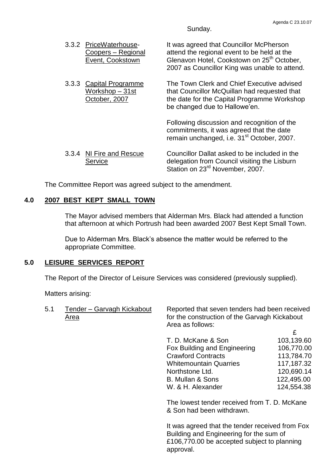Sunday.

| 3.3.2 PriceWaterhouse-<br>Coopers - Regional<br>Event, Cookstown | It was agreed that Councillor McPherson<br>attend the regional event to be held at the<br>Glenavon Hotel, Cookstown on 25 <sup>th</sup> October,<br>2007 as Councillor King was unable to attend. |
|------------------------------------------------------------------|---------------------------------------------------------------------------------------------------------------------------------------------------------------------------------------------------|
| 3.3.3 Capital Programme<br>Workshop - 31st<br>October, 2007      | The Town Clerk and Chief Executive advised<br>that Councillor McQuillan had requested that<br>the date for the Capital Programme Workshop<br>be changed due to Hallowe'en.                        |
|                                                                  | Following discussion and recognition of the<br>commitments, it was agreed that the date<br>remain unchanged, i.e. 31 <sup>st</sup> October, 2007.                                                 |

| 3.3.4 NI Fire and Rescue | Councillor Dallat asked to be included in the |
|--------------------------|-----------------------------------------------|
| Service                  | delegation from Council visiting the Lisburn  |
|                          | Station on 23 <sup>rd</sup> November, 2007.   |

The Committee Report was agreed subject to the amendment.

## **4.0 2007 BEST KEPT SMALL TOWN**

The Mayor advised members that Alderman Mrs. Black had attended a function that afternoon at which Portrush had been awarded 2007 Best Kept Small Town.

Due to Alderman Mrs. Black's absence the matter would be referred to the appropriate Committee.

## **5.0 LEISURE SERVICES REPORT**

The Report of the Director of Leisure Services was considered (previously supplied).

Matters arising:

| 5.1<br>Tender - Garvagh Kickabout<br>Area | Reported that seven tenders had been received<br>for the construction of the Garvagh Kickabout<br>Area as follows: |                                                                                                                                           |            |
|-------------------------------------------|--------------------------------------------------------------------------------------------------------------------|-------------------------------------------------------------------------------------------------------------------------------------------|------------|
|                                           |                                                                                                                    | £                                                                                                                                         |            |
|                                           |                                                                                                                    | T. D. McKane & Son                                                                                                                        | 103,139.60 |
|                                           |                                                                                                                    | Fox Building and Engineering                                                                                                              | 106,770.00 |
|                                           |                                                                                                                    | <b>Crawford Contracts</b>                                                                                                                 | 113,784.70 |
|                                           |                                                                                                                    | <b>Whitemountain Quarries</b>                                                                                                             | 117,187.32 |
|                                           |                                                                                                                    | Northstone Ltd.                                                                                                                           | 120,690.14 |
|                                           |                                                                                                                    | <b>B. Mullan &amp; Sons</b>                                                                                                               | 122,495.00 |
|                                           |                                                                                                                    | W. & H. Alexander                                                                                                                         | 124,554.38 |
|                                           |                                                                                                                    | The lowest tender received from T. D. McKane<br>& Son had been withdrawn.                                                                 |            |
|                                           |                                                                                                                    | It was agreed that the tender received from Fox<br>Building and Engineering for the sum of<br>£106,770.00 be accepted subject to planning |            |

approval.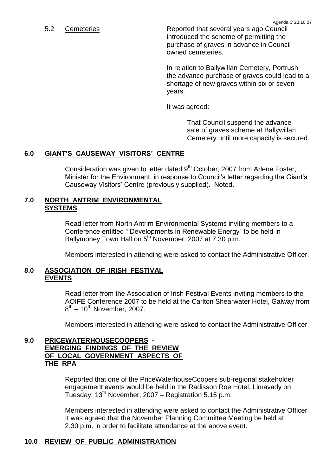5.2 Cemeteries Reported that several years ago Council introduced the scheme of permitting the purchase of graves in advance in Council owned cemeteries.

> In relation to Ballywillan Cemetery, Portrush the advance purchase of graves could lead to a shortage of new graves within six or seven years.

It was agreed:

That Council suspend the advance sale of graves scheme at Ballywillan Cemetery until more capacity is secured.

## **6.0 GIANT'S CAUSEWAY VISITORS'CENTRE**

Consideration was given to letter dated  $9<sup>th</sup>$  October, 2007 from Arlene Foster, Minister for the Environment, in response to Council's letter regarding the Giant's Causeway Visitors' Centre (previously supplied). Noted.

### **7.0 NORTH ANTRIM ENVIRONMENTAL SYSTEMS**

Read letter from North Antrim Environmental Systems inviting members to a Conference entitled "Developments in Renewable Energy" to be held in Ballymoney Town Hall on 5<sup>th</sup> November, 2007 at 7.30 p.m.

Members interested in attending were asked to contact the Administrative Officer.

## **8.0 ASSOCIATION OF IRISH FESTIVAL EVENTS**

Read letter from the Association of Irish Festival Events inviting members to the AOIFE Conference 2007 to be held at the Carlton Shearwater Hotel, Galway from  $8^{\text{th}}$  – 10<sup>th</sup> November, 2007.

Members interested in attending were asked to contact the Administrative Officer.

## **9.0 PRICEWATERHOUSECOOPERS - EMERGING FINDINGS OF THE REVIEW OF LOCAL GOVERNMENT ASPECTS OF THE RPA**

Reported that one of the PriceWaterhouseCoopers sub-regional stakeholder engagement events would be held in the Radisson Roe Hotel, Limavady on Tuesday,  $13^{th}$  November, 2007 – Registration 5.15 p.m.

Members interested in attending were asked to contact the Administrative Officer. It was agreed that the November Planning Committee Meeting be held at 2.30 p.m. in order to facilitate attendance at the above event.

## **10.0 REVIEW OF PUBLIC ADMINISTRATION**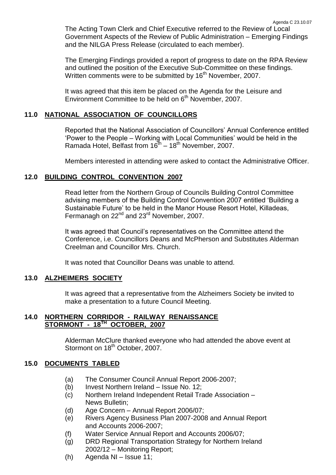The Acting Town Clerk and Chief Executive referred to the Review of Local Government Aspects of the Review of Public Administration –Emerging Findings and the NILGA Press Release (circulated to each member).

The Emerging Findings provided a report of progress to date on the RPA Review and outlined the position of the Executive Sub-Committee on these findings. Written comments were to be submitted by 16<sup>th</sup> November, 2007.

It was agreed that this item be placed on the Agenda for the Leisure and Environment Committee to be held on 6<sup>th</sup> November, 2007.

## **11.0 NATIONAL ASSOCIATION OF COUNCILLORS**

Reported that the National Association of Councillors' Annual Conference entitled 'Power to the People – Working with Local Communities' would be held in the Ramada Hotel, Belfast from  $16^{th} - 18^{th}$  November, 2007.

Members interested in attending were asked to contact the Administrative Officer.

### **12.0 BUILDING CONTROL CONVENTION 2007**

Read letter from the Northern Group of Councils Building Control Committee advising members of the Building Control Convention 2007 entitled 'Building a Sustainable Future' to be held in the Manor House Resort Hotel, Killadeas, Fermanagh on 22<sup>nd</sup> and 23<sup>rd</sup> November, 2007.

It was agreed that Council's representatives on the Committee attend the Conference, i.e. Councillors Deans and McPherson and Substitutes Alderman Creelman and Councillor Mrs. Church.

It was noted that Councillor Deans was unable to attend.

#### **13.0 ALZHEIMERS SOCIETY**

It was agreed that a representative from the Alzheimers Society be invited to make a presentation to a future Council Meeting.

### **14.0 NORTHERN CORRIDOR - RAILWAY RENAISSANCE STORMONT - 18TH OCTOBER, 2007**

Alderman McClure thanked everyone who had attended the above event at Stormont on 18<sup>th</sup> October, 2007.

# **15.0 DOCUMENTS TABLED**

- (a) The Consumer Council Annual Report 2006-2007;
- (b) Invest Northern Ireland Issue No. 12;
- (c) Northern Ireland Independent Retail Trade Association News Bulletin;
- (d) Age Concern –Annual Report 2006/07;
- (e) Rivers Agency Business Plan 2007-2008 and Annual Report and Accounts 2006-2007;
- (f) Water Service Annual Report and Accounts 2006/07;
- (g) DRD Regional Transportation Strategy for Northern Ireland 2002/12 - Monitoring Report;
- (h) Agenda NI –Issue 11;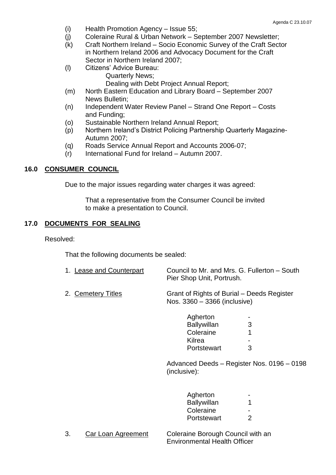- $(i)$  Health Promotion Agency Issue 55;
- (j) Coleraine Rural & Urban Network September 2007 Newsletter;
- (k) Craft Northern Ireland –Socio Economic Survey of the Craft Sector in Northern Ireland 2006 and Advocacy Document for the Craft Sector in Northern Ireland 2007;
- (I) Citizens' Advice Bureau: Quarterly News;

Dealing with Debt Project Annual Report;

- (m) North Eastern Education and Library Board September 2007 News Bulletin;
- (n) Independent Water Review Panel Strand One Report Costs and Funding;
- (o) Sustainable Northern Ireland Annual Report;
- (p) Northern Ireland's District Policing Partnership Quarterly Magazine-Autumn 2007;
- (q) Roads Service Annual Report and Accounts 2006-07;
- (r) International Fund for Ireland –Autumn 2007.

## **16.0 CONSUMER COUNCIL**

Due to the major issues regarding water charges it was agreed:

That a representative from the Consumer Council be invited to make a presentation to Council.

## **17.0 DOCUMENTS FOR SEALING**

Resolved:

That the following documents be sealed:

| 1. Lease and Counterpart | Council to Mr. and Mrs. G. Fullerton - South<br>Pier Shop Unit, Portrush.  |
|--------------------------|----------------------------------------------------------------------------|
| 2. Cemetery Titles       | Grant of Rights of Burial – Deeds Register<br>Nos. 3360 - 3366 (inclusive) |

| Agherton           |   |
|--------------------|---|
| <b>Ballywillan</b> | З |
| Coleraine          | 1 |
| Kilrea             |   |
| Portstewart        | З |

Advanced Deeds - Register Nos. 0196 - 0198 (inclusive):

| Agherton           |   |
|--------------------|---|
| <b>Ballywillan</b> | 1 |
| Coleraine          |   |
| Portstewart        | 2 |

3. Car Loan Agreement Coleraine Borough Council with an Environmental Health Officer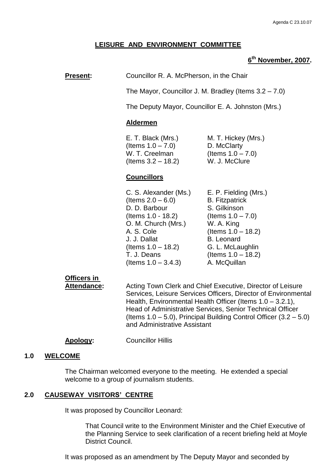## **LEISURE AND ENVIRONMENT COMMITTEE**

## **6 th November, 2007.**

**Present:** Councillor R. A. McPherson, in the Chair

The Mayor, Councillor J. M. Bradley (Items 3.2 –7.0)

The Deputy Mayor, Councillor E. A. Johnston (Mrs.)

#### **Aldermen**

E. T. Black (Mrs.) M. T. Hickey (Mrs.)  $($ ltems  $1.0 - 7.0$  $)$  D. McClarty W. T. Creelman  $($ Items  $1.0 - 7.0)$ (Items 3.2 –18.2) W. J. McClure

### **Councillors**

C. S. Alexander (Ms.) E. P. Fielding (Mrs.)  $($ ltems  $2.0 - 6.0$  B. Fitzpatrick D. D. Barbour S. Gilkinson (Items 1.0 - 18.2) (Items 1.0 –7.0) O. M. Church (Mrs.) W. A. King A. S. Cole (Items 1.0 –18.2) J. J. Dallat B. Leonard  $($ ltems  $1.0 - 18.2)$  G. L. McLaughlin T. J. Deans (Items 1.0 –18.2)  $($ ltems  $1.0 - 3.4.3)$  A. McQuillan

# **Officers in**

Attendance: Acting Town Clerk and Chief Executive, Director of Leisure Services, Leisure Services Officers, Director of Environmental Health, Environmental Health Officer (Items 1.0 – 3.2.1), Head of Administrative Services, Senior Technical Officer (Items  $1.0 - 5.0$ ), Principal Building Control Officer  $(3.2 - 5.0)$ and Administrative Assistant

#### **Apology:** Councillor Hillis

#### **1.0 WELCOME**

The Chairman welcomed everyone to the meeting. He extended a special welcome to a group of journalism students.

#### **2.0 CAUSEWAY VISITORS'CENTRE**

It was proposed by Councillor Leonard:

That Council write to the Environment Minister and the Chief Executive of the Planning Service to seek clarification of a recent briefing held at Moyle District Council.

It was proposed as an amendment by The Deputy Mayor and seconded by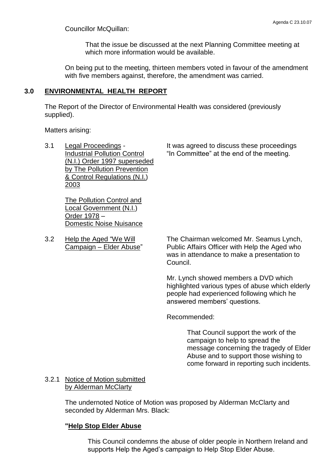Councillor McQuillan:

That the issue be discussed at the next Planning Committee meeting at which more information would be available.

On being put to the meeting, thirteen members voted in favour of the amendment with five members against, therefore, the amendment was carried.

## **3.0 ENVIRONMENTAL HEALTH REPORT**

The Report of the Director of Environmental Health was considered (previously supplied).

Matters arising:

3.1 Legal Proceedings - It was agreed to discuss these proceedings Industrial Pollution Control "In Committee" at the end of the meeting. (N.I.) Order 1997 superseded by The Pollution Prevention & Control Regulations (N.I.) 2003

The Pollution Control and Local Government (N.I.) Order 1978 – Domestic Noise Nuisance

3.2 Help the Aged "We Will The Chairman welcomed Mr. Seamus Lynch,<br>Campaign – Elder Abuse" Public Affairs Officer with Help the Aged who Public Affairs Officer with Help the Aged who was in attendance to make a presentation to

> Mr. Lynch showed members a DVD which highlighted various types of abuse which elderly people had experienced following which he answered members' questions.

Recommended:

Council.

That Council support the work of the campaign to help to spread the message concerning the tragedy of Elder Abuse and to support those wishing to come forward in reporting such incidents.

## 3.2.1 Notice of Motion submitted by Alderman McClarty

The undernoted Notice of Motion was proposed by Alderman McClarty and seconded by Alderman Mrs. Black:

## **"Help Stop Elder Abuse**

This Council condemns the abuse of older people in Northern Ireland and supports Help the Aged's campaign to Help Stop Elder Abuse.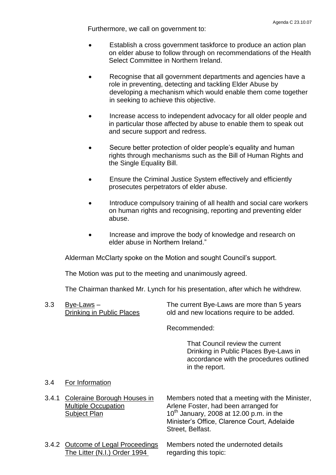Furthermore, we call on government to:

- Establish a cross government taskforce to produce an action plan on elder abuse to follow through on recommendations of the Health Select Committee in Northern Ireland.
- Recognise that all government departments and agencies have a role in preventing, detecting and tackling Elder Abuse by developing a mechanism which would enable them come together in seeking to achieve this objective.
- Increase access to independent advocacy for all older people and in particular those affected by abuse to enable them to speak out and secure support and redress.
- Secure better protection of older people's equality and human rights through mechanisms such as the Bill of Human Rights and the Single Equality Bill.
- Ensure the Criminal Justice System effectively and efficiently prosecutes perpetrators of elder abuse.
- Introduce compulsory training of all health and social care workers on human rights and recognising, reporting and preventing elder abuse.
- Increase and improve the body of knowledge and research on elder abuse in Northern Ireland."

Alderman McClarty spoke on the Motion and sought Council's support.

The Motion was put to the meeting and unanimously agreed.

The Chairman thanked Mr. Lynch for his presentation, after which he withdrew.

3.3 Bye-Laws – The current Bye-Laws are more than 5 years Drinking in Public Places old and new locations require to be added.

Recommended:

That Council review the current Drinking in Public Places Bye-Laws in accordance with the procedures outlined in the report.

## 3.4 For Information

- 3.4.1 Coleraine Borough Houses in Members noted that a meeting with the Minister, Multiple Occupation **Arlene Foster, had been arranged for** Subject Plan  $10^{th}$  January, 2008 at 12.00 p.m. in the Minister's Office, Clarence Court, Adelaide Street, Belfast.
- 3.4.2 Outcome of Legal Proceedings Members noted the undernoted details The Litter (N.I.) Order 1994 regarding this topic: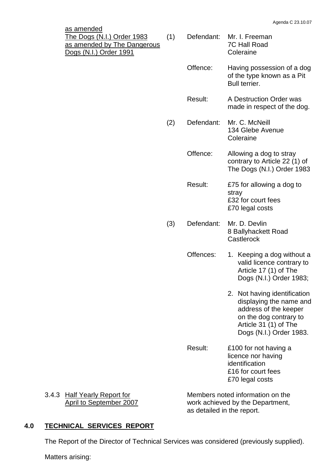| <u>as amended</u><br>The Dogs (N.I.) Order 1983<br>as amended by The Dangerous<br>Dogs (N.I.) Order 1991 | (1) | Defendant: | Mr. I. Freeman<br><b>7C Hall Road</b><br>Coleraine                                                                                                             |
|----------------------------------------------------------------------------------------------------------|-----|------------|----------------------------------------------------------------------------------------------------------------------------------------------------------------|
|                                                                                                          |     | Offence:   | Having possession of a dog<br>of the type known as a Pit<br>Bull terrier.                                                                                      |
|                                                                                                          |     | Result:    | A Destruction Order was<br>made in respect of the dog.                                                                                                         |
|                                                                                                          | (2) | Defendant: | Mr. C. McNeill<br>134 Glebe Avenue<br>Coleraine                                                                                                                |
|                                                                                                          |     | Offence:   | Allowing a dog to stray<br>contrary to Article 22 (1) of<br>The Dogs (N.I.) Order 1983                                                                         |
|                                                                                                          |     | Result:    | £75 for allowing a dog to<br>stray<br>£32 for court fees<br>£70 legal costs                                                                                    |
|                                                                                                          | (3) | Defendant: | Mr. D. Devlin<br>8 Ballyhackett Road<br>Castlerock                                                                                                             |
|                                                                                                          |     | Offences:  | 1. Keeping a dog without a<br>valid licence contrary to<br>Article 17 (1) of The<br>Dogs (N.I.) Order 1983;                                                    |
|                                                                                                          |     |            | 2. Not having identification<br>displaying the name and<br>address of the keeper<br>on the dog contrary to<br>Article 31 (1) of The<br>Dogs (N.I.) Order 1983. |
|                                                                                                          |     | Result:    | £100 for not having a<br>licence nor having<br>identification<br>£16 for court fees<br>£70 legal costs                                                         |

3.4.3 Half Yearly Report for Members noted information on the April to September 2007 work achieved by the Department, as detailed in the report.

## **4.0 TECHNICAL SERVICES REPORT**

The Report of the Director of Technical Services was considered (previously supplied).

Matters arising: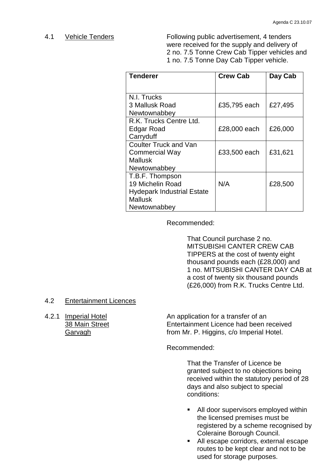4.1 Vehicle Tenders Following public advertisement, 4 tenders were received for the supply and delivery of 2 no. 7.5 Tonne Crew Cab Tipper vehicles and 1 no. 7.5 Tonne Day Cab Tipper vehicle.

| <b>Tenderer</b>                   | <b>Crew Cab</b> | Day Cab |
|-----------------------------------|-----------------|---------|
|                                   |                 |         |
| N.I. Trucks                       |                 |         |
| 3 Mallusk Road                    | £35,795 each    | £27,495 |
| Newtownabbey                      |                 |         |
| R.K. Trucks Centre Ltd.           |                 |         |
| Edgar Road                        | £28,000 each    | £26,000 |
| Carryduff                         |                 |         |
| <b>Coulter Truck and Van</b>      |                 |         |
| <b>Commercial Way</b>             | £33,500 each    | £31,621 |
| <b>Mallusk</b>                    |                 |         |
| Newtownabbey                      |                 |         |
| T.B.F. Thompson                   |                 |         |
| 19 Michelin Road                  | N/A             | £28,500 |
| <b>Hydepark Industrial Estate</b> |                 |         |
| <b>Mallusk</b>                    |                 |         |
| Newtownabbey                      |                 |         |

Recommended:

That Council purchase 2 no. MITSUBISHI CANTER CREW CAB TIPPERS at the cost of twenty eight thousand pounds each (£28,000) and 1 no. MITSUBISHI CANTER DAY CAB at a cost of twenty six thousand pounds (£26,000) from R.K. Trucks Centre Ltd.

#### 4.2 Entertainment Licences

4.2.1 Imperial Hotel An application for a transfer of an 38 Main Street Entertainment Licence had been received Garvagh **From Mr. P. Higgins, c/o Imperial Hotel.** 

Recommended:

That the Transfer of Licence be granted subject to no objections being received within the statutory period of 28 days and also subject to special conditions:

- **All door supervisors employed within** the licensed premises must be registered by a scheme recognised by Coleraine Borough Council.
- All escape corridors, external escape routes to be kept clear and not to be used for storage purposes.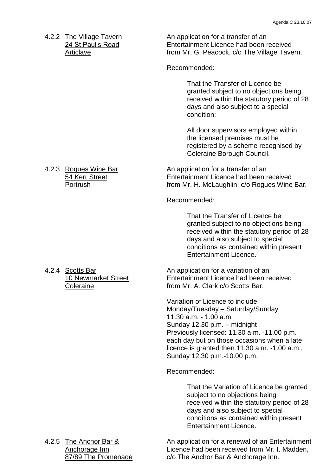4.2.2 The Village Tavern An application for a transfer of an 24 St Paul's Road **Entertainment Licence had been received** Articlave **From Mr. G. Peacock, c/o The Village Tavern.** 

Recommended:

That the Transfer of Licence be granted subject to no objections being received within the statutory period of 28 days and also subject to a special condition:

All door supervisors employed within the licensed premises must be registered by a scheme recognised by Coleraine Borough Council.

4.2.3 Rogues Wine Bar An application for a transfer of an 54 Kerr Street Entertainment Licence had been received Portrush **From Mr. H. McLaughlin, c/o Rogues Wine Bar.** Fortrush

Recommended:

That the Transfer of Licence be granted subject to no objections being received within the statutory period of 28 days and also subject to special conditions as contained within present Entertainment Licence.

4.2.4 Scotts Bar An application for a variation of an 10 Newmarket Street Entertainment Licence had been received Coleraine **From Mr. A. Clark c/o Scotts Bar.** 

> Variation of Licence to include: Monday/Tuesday - Saturday/Sunday 11.30 a.m. - 1.00 a.m. Sunday  $12.30$  p.m. – midnight Previously licensed: 11.30 a.m. -11.00 p.m. each day but on those occasions when a late licence is granted then 11.30 a.m. -1.00 a.m., Sunday 12.30 p.m.-10.00 p.m.

Recommended:

That the Variation of Licence be granted subject to no objections being received within the statutory period of 28 days and also subject to special conditions as contained within present Entertainment Licence.

| 4.2.5 The Anchor Bar & | An application for a renewal of an Entertainment |
|------------------------|--------------------------------------------------|
| Anchorage Inn          | Licence had been received from Mr. I. Madden,    |
| 87/89 The Promenade    | c/o The Anchor Bar & Anchorage Inn.              |
|                        |                                                  |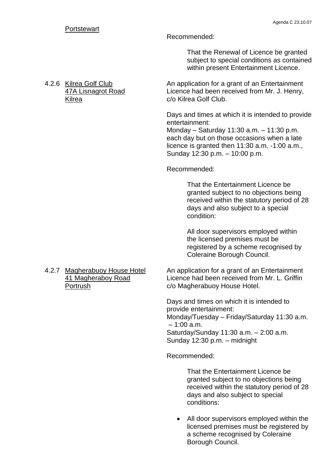#### Recommended:

That the Renewal of Licence be granted subject to special conditions as contained within present Entertainment Licence.

4.2.6 Kilrea Golf Club An application for a grant of an Entertainment 47A Lisnagrot Road Licence had been received from Mr. J. Henry, Kilrea **Collaborato Collaborato Collaborato Collaborato Collaborato Collaborato Collaborato Collaborato Collaborato Collaborato Collaborato Collaborato Collaborato Collaborato Collaborato Collaborato Collaborato Collaborat** 

> Days and times at which it is intended to provide entertainment:

Monday – Saturday 11:30 a.m.  $-11:30$  p.m. each day but on those occasions when a late licence is granted then 11:30 a.m. -1:00 a.m., Sunday 12:30 p.m. - 10:00 p.m.

### Recommended:

That the Entertainment Licence be granted subject to no objections being received within the statutory period of 28 days and also subject to a special condition:

All door supervisors employed within the licensed premises must be registered by a scheme recognised by Coleraine Borough Council.

4.2.7 Magherabuoy House Hotel An application for a grant of an Entertainment 41 Magheraboy Road Licence had been received from Mr. L. Griffin Portrush c/o Magherabuoy House Hotel.

> Days and times on which it is intended to provide entertainment: Monday/Tuesday – Friday/Saturday 11:30 a.m.  $-1:00$  a.m. Saturday/Sunday 11:30 a.m. - 2:00 a.m. Sunday  $12:30$  p.m.  $-$  midnight

Recommended:

That the Entertainment Licence be granted subject to no objections being received within the statutory period of 28 days and also subject to special conditions:

 All door supervisors employed within the licensed premises must be registered by a scheme recognised by Coleraine Borough Council.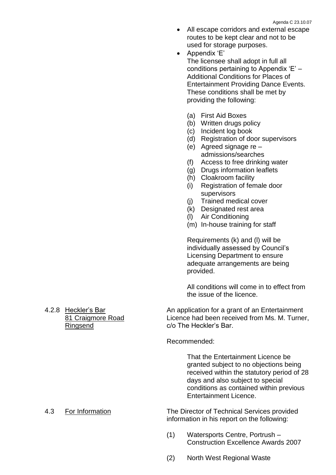- All escape corridors and external escape routes to be kept clear and not to be used for storage purposes.
- Appendix 'E' The licensee shall adopt in full all conditions pertaining to Appendix  $E'$  – Additional Conditions for Places of Entertainment Providing Dance Events. These conditions shall be met by providing the following:
	- (a) First Aid Boxes
	- (b) Written drugs policy
	- (c) Incident log book
	- (d) Registration of door supervisors
	- (e) Agreed signage re admissions/searches
	- (f) Access to free drinking water
	- (g) Drugs information leaflets
	- (h) Cloakroom facility
	- (i) Registration of female door supervisors
	- (j) Trained medical cover
	- (k) Designated rest area
	- (l) Air Conditioning
	- (m) In-house training for staff

Requirements (k) and (l) will be individually assessed by Council's Licensing Department to ensure adequate arrangements are being provided.

All conditions will come in to effect from the issue of the licence.

4.2.8 Heckler's Bar An application for a grant of an Entertainment 81 Craigmore Road Licence had been received from Ms. M. Turner, Ringsend c/o The Heckler's Bar.

#### Recommended:

That the Entertainment Licence be granted subject to no objections being received within the statutory period of 28 days and also subject to special conditions as contained within previous Entertainment Licence.

4.3 For Information The Director of Technical Services provided information in his report on the following:

- (1) Watersports Centre, Portrush Construction Excellence Awards 2007
- (2) North West Regional Waste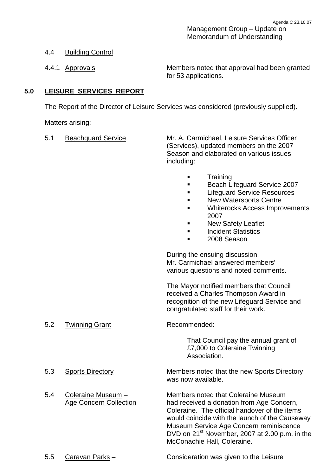Management Group - Update on Memorandum of Understanding

## 4.4 Building Control

4.4.1 Approvals Members noted that approval had been granted for 53 applications.

## **5.0 LEISURE SERVICES REPORT**

The Report of the Director of Leisure Services was considered (previously supplied).

Matters arising:

5.1 Beachguard Service Mr. A. Carmichael, Leisure Services Officer (Services), updated members on the 2007 Season and elaborated on various issues including:

- **Training**
- **Beach Lifeguard Service 2007**
- **Lifeguard Service Resources**
- **New Watersports Centre**
- Whiterocks Access Improvements 2007
- New Safety Leaflet
- Incident Statistics
- 2008 Season

During the ensuing discussion, Mr. Carmichael answered members' various questions and noted comments.

The Mayor notified members that Council received a Charles Thompson Award in recognition of the new Lifeguard Service and congratulated staff for their work.

5.2 Twinning Grant Recommended:

That Council pay the annual grant of £7,000 to Coleraine Twinning Association.

- 
- 

5.3 Sports Directory Members noted that the new Sports Directory was now available.

5.4 Coleraine Museum – Members noted that Coleraine Museum Age Concern Collection had received a donation from Age Concern, Coleraine. The official handover of the items would coincide with the launch of the Causeway Museum Service Age Concern reminiscence DVD on 21<sup>st</sup> November, 2007 at 2.00 p.m. in the McConachie Hall, Coleraine.

5.5 Caravan Parks – Consideration was given to the Leisure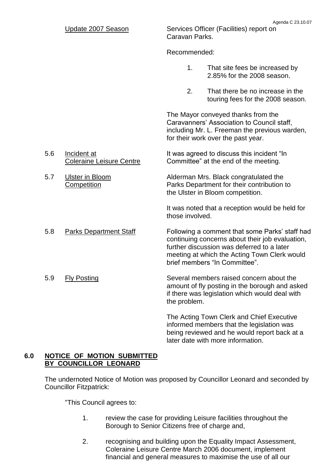Update 2007 Season Services Officer (Facilities) report on Caravan Parks.

Recommended:

- 1. That site fees be increased by 2.85% for the 2008 season.
- 2. That there be no increase in the touring fees for the 2008 season.

The Mayor conveyed thanks from the Caravanners' Association to Council staff, including Mr. L. Freeman the previous warden, for their work over the past year.

5.6 Incident at It was agreed to discuss this incident "In Coleraine Leisure Centre Committee" at the end of the meeting.

5.7 Ulster in Bloom Alderman Mrs. Black congratulated the Competition Parks Department for their contribution to the Ulster in Bloom competition.

> It was noted that a reception would be held for those involved.

5.8 Parks Department Staff Following a comment that some Parks' staff had continuing concerns about their job evaluation, further discussion was deferred to a later meeting at which the Acting Town Clerk would brief members "In Committee".

5.9 Fly Posting Several members raised concern about the amount of fly posting in the borough and asked if there was legislation which would deal with the problem.

> The Acting Town Clerk and Chief Executive informed members that the legislation was being reviewed and he would report back at a later date with more information.

## **6.0 NOTICE OF MOTION SUBMITTED BY COUNCILLOR LEONARD**

The undernoted Notice of Motion was proposed by Councillor Leonard and seconded by Councillor Fitzpatrick:

"This Council agrees to:

- 1. review the case for providing Leisure facilities throughout the Borough to Senior Citizens free of charge and,
- 2. recognising and building upon the Equality Impact Assessment, Coleraine Leisure Centre March 2006 document, implement financial and general measures to maximise the use of all our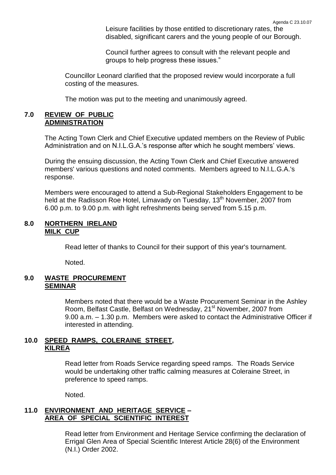Leisure facilities by those entitled to discretionary rates, the disabled, significant carers and the young people of our Borough.

Council further agrees to consult with the relevant people and groups to help progress these issues."

Councillor Leonard clarified that the proposed review would incorporate a full costing of the measures.

The motion was put to the meeting and unanimously agreed.

#### **7.0 REVIEW OF PUBLIC ADMINISTRATION**

The Acting Town Clerk and Chief Executive updated members on the Review of Public Administration and on N.I.L.G.A.'s response after which he sought members' views.

During the ensuing discussion, the Acting Town Clerk and Chief Executive answered members' various questions and noted comments. Members agreed to N.I.L.G.A.'s response.

Members were encouraged to attend a Sub-Regional Stakeholders Engagement to be held at the Radisson Roe Hotel, Limavady on Tuesday, 13<sup>th</sup> November, 2007 from 6.00 p.m. to 9.00 p.m. with light refreshments being served from 5.15 p.m.

### **8.0 NORTHERN IRELAND MILK CUP**

Read letter of thanks to Council for their support of this year's tournament.

Noted.

#### **9.0 WASTE PROCUREMENT SEMINAR**

Members noted that there would be a Waste Procurement Seminar in the Ashley Room, Belfast Castle, Belfast on Wednesday, 21<sup>st</sup> November, 2007 from 9.00 a.m.  $-1.30$  p.m. Members were asked to contact the Administrative Officer if interested in attending.

### **10.0 SPEED RAMPS, COLERAINE STREET, KILREA**

Read letter from Roads Service regarding speed ramps. The Roads Service would be undertaking other traffic calming measures at Coleraine Street, in preference to speed ramps.

Noted.

## **11.0 ENVIRONMENT AND HERITAGE SERVICE – AREA OF SPECIAL SCIENTIFIC INTEREST**

Read letter from Environment and Heritage Service confirming the declaration of Errigal Glen Area of Special Scientific Interest Article 28(6) of the Environment (N.I.) Order 2002.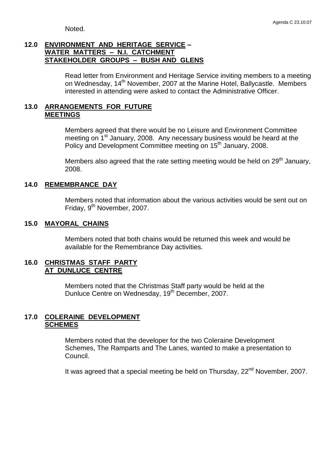Noted.

## **12.0 ENVIRONMENT AND HERITAGE SERVICE – WATER MATTERS –N.I. CATCHMENT STAKEHOLDER GROUPS –BUSH AND GLENS**

Read letter from Environment and Heritage Service inviting members to a meeting on Wednesday, 14<sup>th</sup> November, 2007 at the Marine Hotel, Ballycastle. Members interested in attending were asked to contact the Administrative Officer.

### **13.0 ARRANGEMENTS FOR FUTURE MEETINGS**

Members agreed that there would be no Leisure and Environment Committee meeting on  $1<sup>st</sup>$  January, 2008. Any necessary business would be heard at the Policy and Development Committee meeting on 15<sup>th</sup> January, 2008.

Members also agreed that the rate setting meeting would be held on  $29<sup>th</sup>$  January, 2008.

### **14.0 REMEMBRANCE DAY**

Members noted that information about the various activities would be sent out on Friday, 9<sup>th</sup> November, 2007.

### **15.0 MAYORAL CHAINS**

Members noted that both chains would be returned this week and would be available for the Remembrance Day activities.

#### **16.0 CHRISTMAS STAFF PARTY AT DUNLUCE CENTRE**

Members noted that the Christmas Staff party would be held at the Dunluce Centre on Wednesday, 19<sup>th</sup> December, 2007.

## **17.0 COLERAINE DEVELOPMENT SCHEMES**

Members noted that the developer for the two Coleraine Development Schemes, The Ramparts and The Lanes, wanted to make a presentation to Council.

It was agreed that a special meeting be held on Thursday,  $22<sup>nd</sup>$  November, 2007.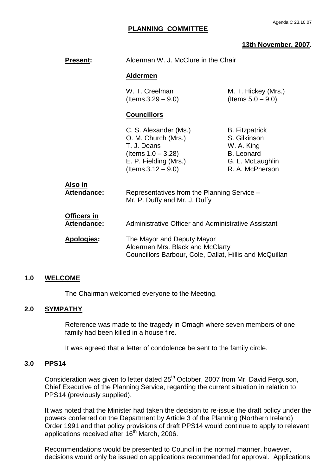## **13th November, 2007.**

| <b>Present:</b>            | Alderman W. J. McClure in the Chair                                                                                                    |                                                                                                                 |
|----------------------------|----------------------------------------------------------------------------------------------------------------------------------------|-----------------------------------------------------------------------------------------------------------------|
|                            | <u>Aldermen</u>                                                                                                                        |                                                                                                                 |
|                            | W. T. Creelman<br>(Items $3.29 - 9.0$ )                                                                                                | M. T. Hickey (Mrs.)<br>(Items $5.0 - 9.0$ )                                                                     |
|                            | <u>Councillors</u>                                                                                                                     |                                                                                                                 |
|                            | C. S. Alexander (Ms.)<br>O. M. Church (Mrs.)<br>T. J. Deans<br>(Items $1.0 - 3.28$ )<br>E. P. Fielding (Mrs.)<br>(Items $3.12 - 9.0$ ) | <b>B.</b> Fitzpatrick<br>S. Gilkinson<br>W. A. King<br><b>B.</b> Leonard<br>G. L. McLaughlin<br>R. A. McPherson |
| Also in<br>Attendance:     | Representatives from the Planning Service -<br>Mr. P. Duffy and Mr. J. Duffy                                                           |                                                                                                                 |
| Officers in<br>Attendance: | Administrative Officer and Administrative Assistant                                                                                    |                                                                                                                 |
| Apologies:                 | The Mayor and Deputy Mayor<br>Aldermen Mrs. Black and McClarty<br>Councillors Barbour, Cole, Dallat, Hillis and McQuillan              |                                                                                                                 |
|                            |                                                                                                                                        |                                                                                                                 |

## **1.0 WELCOME**

The Chairman welcomed everyone to the Meeting.

## **2.0 SYMPATHY**

Reference was made to the tragedy in Omagh where seven members of one family had been killed in a house fire.

It was agreed that a letter of condolence be sent to the family circle.

## **3.0 PPS14**

Consideration was given to letter dated 25<sup>th</sup> October, 2007 from Mr. David Ferguson, Chief Executive of the Planning Service, regarding the current situation in relation to PPS14 (previously supplied).

It was noted that the Minister had taken the decision to re-issue the draft policy under the powers conferred on the Department by Article 3 of the Planning (Northern Ireland) Order 1991 and that policy provisions of draft PPS14 would continue to apply to relevant applications received after 16<sup>th</sup> March, 2006.

Recommendations would be presented to Council in the normal manner, however, decisions would only be issued on applications recommended for approval. Applications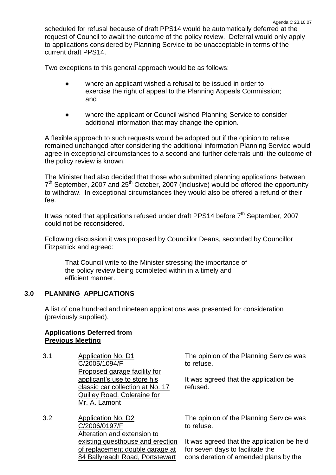Two exceptions to this general approach would be as follows:

- where an applicant wished a refusal to be issued in order to exercise the right of appeal to the Planning Appeals Commission: and
- where the applicant or Council wished Planning Service to consider additional information that may change the opinion.

A flexible approach to such requests would be adopted but if the opinion to refuse remained unchanged after considering the additional information Planning Service would agree in exceptional circumstances to a second and further deferrals until the outcome of the policy review is known.

The Minister had also decided that those who submitted planning applications between 7<sup>th</sup> September, 2007 and 25<sup>th</sup> October, 2007 (inclusive) would be offered the opportunity to withdraw. In exceptional circumstances they would also be offered a refund of their fee.

It was noted that applications refused under draft PPS14 before  $7<sup>th</sup>$  September, 2007 could not be reconsidered.

Following discussion it was proposed by Councillor Deans, seconded by Councillor Fitzpatrick and agreed:

That Council write to the Minister stressing the importance of the policy review being completed within in a timely and efficient manner.

# **3.0 PLANNING APPLICATIONS**

A list of one hundred and nineteen applications was presented for consideration (previously supplied).

## **Applications Deferred from Previous Meeting**

- 3.1 Application No. D1 C/2005/1094/F Proposed garage facility for applicant's use to store his classic car collection at No. 17 Quilley Road, Coleraine for Mr. A. Lamont
- 3.2 Application No. D2 C/2006/0197/F Alteration and extension to existing guesthouse and erection of replacement double garage at 84 Ballyreagh Road, Portstewart

The opinion of the Planning Service was to refuse.

It was agreed that the application be refused.

The opinion of the Planning Service was to refuse.

It was agreed that the application be held for seven days to facilitate the consideration of amended plans by the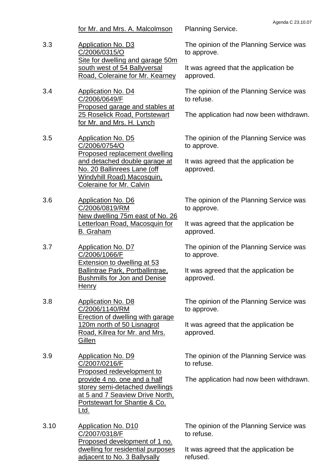3.3 Application No. D3 C/2006/0315/O Site for dwelling and garage 50m south west of 54 Ballyversal Road, Coleraine for Mr. Kearney

3.4 Application No. D4 C/2006/0649/F Proposed garage and stables at 25 Roselick Road, Portstewart for Mr. and Mrs. H. Lynch

3.5 Application No. D5 C/2006/0754/O Proposed replacement dwelling and detached double garage at No. 20 Ballinrees Lane (off Windyhill Road) Macosquin, Coleraine for Mr. Calvin

3.6 Application No. D6 C/2006/0819/RM New dwelling 75m east of No. 26 Letterloan Road, Macosquin for B. Graham

3.7 Application No. D7 C/2006/1066/F Extension to dwelling at 53 Ballintrae Park, Portballintrae, Bushmills for Jon and Denise **Henry** 

3.8 Application No. D8 C/2006/1140/RM Erection of dwelling with garage 120m north of 50 Lisnagrot Road, Kilrea for Mr. and Mrs. Gillen

3.9 Application No. D9 C/2007/0216/F Proposed redevelopment to provide 4 no. one and a half storey semi-detached dwellings at 5 and 7 Seaview Drive North, Portstewart for Shantie & Co. Ltd.

3.10 Application No. D10 C/2007/0318/F Proposed development of 1 no. dwelling for residential purposes adjacent to No. 3 Ballysally

for Mr. and Mrs. A. Malcolmson Planning Service.

The opinion of the Planning Service was to approve.

It was agreed that the application be approved.

The opinion of the Planning Service was to refuse.

The application had now been withdrawn.

The opinion of the Planning Service was to approve.

It was agreed that the application be approved.

The opinion of the Planning Service was to approve.

It was agreed that the application be approved.

The opinion of the Planning Service was to approve.

It was agreed that the application be approved.

The opinion of the Planning Service was to approve.

It was agreed that the application be approved.

The opinion of the Planning Service was to refuse.

The application had now been withdrawn.

The opinion of the Planning Service was to refuse.

It was agreed that the application be refused.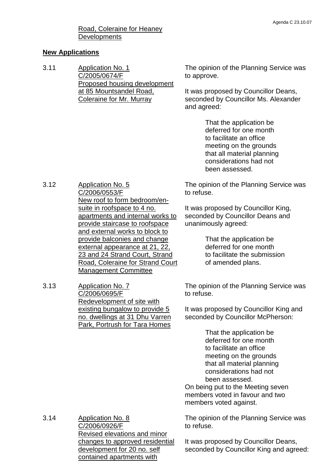## Road, Coleraine for Heaney **Developments**

#### **New Applications**

3.11 Application No. 1 C/2005/0674/F Proposed housing development at 85 Mountsandel Road, Coleraine for Mr. Murray

The opinion of the Planning Service was to approve.

It was proposed by Councillor Deans, seconded by Councillor Ms. Alexander and agreed:

> That the application be deferred for one month to facilitate an office meeting on the grounds that all material planning considerations had not been assessed.

The opinion of the Planning Service was to refuse.

It was proposed by Councillor King, seconded by Councillor Deans and unanimously agreed:

> That the application be deferred for one month to facilitate the submission of amended plans.

The opinion of the Planning Service was to refuse.

It was proposed by Councillor King and seconded by Councillor McPherson:

> That the application be deferred for one month to facilitate an office meeting on the grounds that all material planning considerations had not been assessed.

On being put to the Meeting seven members voted in favour and two members voted against.

The opinion of the Planning Service was to refuse.

3.14 Application No. 8 C/2006/0926/F Revised elevations and minor changes to approved residential development for 20 no. self contained apartments with

It was proposed by Councillor Deans, seconded by Councillor King and agreed:

- 3.12 Application No. 5 C/2006/0553/F New roof to form bedroom/ensuite in roofspace to 4 no. apartments and internal works to provide staircase to roofspace and external works to block to provide balconies and change external appearance at 21, 22, 23 and 24 Strand Court, Strand Road, Coleraine for Strand Court Management Committee
- 3.13 Application No. 7 C/2006/0695/F Redevelopment of site with existing bungalow to provide 5 no. dwellings at 31 Dhu Varren Park, Portrush for Tara Homes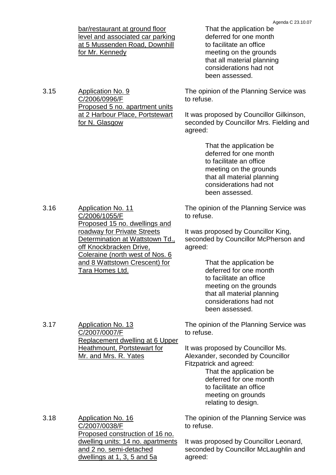bar/restaurant at ground floor level and associated car parking at 5 Mussenden Road, Downhill for Mr. Kennedy

Proposed 5 no. apartment units at 2 Harbour Place, Portstewart

3.15 Application No. 9

C/2006/0996/F

for N. Glasgow

That the application be deferred for one month to facilitate an office meeting on the grounds that all material planning considerations had not been assessed.

The opinion of the Planning Service was to refuse.

It was proposed by Councillor Gilkinson, seconded by Councillor Mrs. Fielding and agreed:

> That the application be deferred for one month to facilitate an office meeting on the grounds that all material planning considerations had not been assessed.

3.16 Application No. 11 C/2006/1055/F Proposed 15 no. dwellings and roadway for Private Streets Determination at Wattstown Td., off Knockbracken Drive, Coleraine (north west of Nos. 6 and 8 Wattstown Crescent) for Tara Homes Ltd.

3.17 Application No. 13

C/2007/0007/F

Mr. and Mrs. R. Yates

Replacement dwelling at 6 Upper Heathmount, Portstewart for

The opinion of the Planning Service was to refuse.

It was proposed by Councillor King, seconded by Councillor McPherson and agreed:

> That the application be deferred for one month to facilitate an office meeting on the grounds that all material planning considerations had not been assessed.

The opinion of the Planning Service was to refuse.

It was proposed by Councillor Ms. Alexander, seconded by Councillor Fitzpatrick and agreed:

That the application be deferred for one month to facilitate an office meeting on grounds relating to design.

3.18 Application No. 16 C/2007/0038/F Proposed construction of 16 no. dwelling units: 14 no. apartments and 2 no. semi-detached dwellings at 1, 3, 5 and 5a

The opinion of the Planning Service was to refuse.

It was proposed by Councillor Leonard, seconded by Councillor McLaughlin and agreed: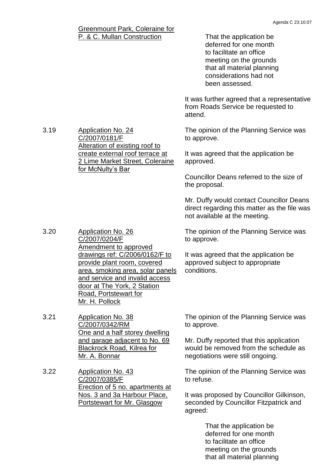#### Greenmount Park, Coleraine for P. & C. Mullan Construction That the application be deferred for one month to facilitate an office meeting on the grounds that all material planning considerations had not been assessed. It was further agreed that a representative from Roads Service be requested to attend. 3.19 Application No. 24 C/2007/0181/F Alteration of existing roof to create external roof terrace at 2 Lime Market Street, Coleraine for McNulty's Bar The opinion of the Planning Service was to approve. It was agreed that the application be approved. Councillor Deans referred to the size of the proposal. Mr. Duffy would contact Councillor Deans direct regarding this matter as the file was not available at the meeting. 3.20 Application No. 26 C/2007/0204/F Amendment to approved drawings ref: C/2006/0162/F to provide plant room, covered area, smoking area, solar panels and service and invalid access door at The York, 2 Station Road, Portstewart for Mr. H. Pollock The opinion of the Planning Service was to approve. It was agreed that the application be approved subject to appropriate conditions. 3.21 Application No. 38 C/2007/0342/RM One and a half storey dwelling and garage adjacent to No. 69 Blackrock Road, Kilrea for Mr. A. Bonnar The opinion of the Planning Service was to approve. Mr. Duffy reported that this application would be removed from the schedule as negotiations were still ongoing. 3.22 Application No. 43 C/2007/0385/F Erection of 5 no. apartments at The opinion of the Planning Service was to refuse.

Nos. 3 and 3a Harbour Place, Portstewart for Mr. Glasgow

It was proposed by Councillor Gilkinson, seconded by Councillor Fitzpatrick and agreed:

> That the application be deferred for one month to facilitate an office meeting on the grounds that all material planning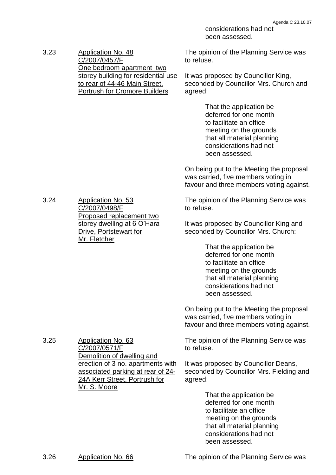considerations had not been assessed.

3.23 Application No. 48 C/2007/0457/F One bedroom apartment two storey building for residential use to rear of 44-46 Main Street, Portrush for Cromore Builders

The opinion of the Planning Service was to refuse.

It was proposed by Councillor King, seconded by Councillor Mrs. Church and agreed:

> That the application be deferred for one month to facilitate an office meeting on the grounds that all material planning considerations had not been assessed.

On being put to the Meeting the proposal was carried, five members voting in favour and three members voting against.

The opinion of the Planning Service was to refuse.

It was proposed by Councillor King and seconded by Councillor Mrs. Church:

> That the application be deferred for one month to facilitate an office meeting on the grounds that all material planning considerations had not been assessed.

On being put to the Meeting the proposal was carried, five members voting in favour and three members voting against.

The opinion of the Planning Service was to refuse.

It was proposed by Councillor Deans, seconded by Councillor Mrs. Fielding and agreed:

> That the application be deferred for one month to facilitate an office meeting on the grounds that all material planning considerations had not been assessed.

3.24 Application No. 53 C/2007/0498/F Proposed replacement two storey dwelling at 6 O'Hara Drive, Portstewart for Mr. Fletcher

3.25 Application No. 63 C/2007/0571/F Demolition of dwelling and erection of 3 no. apartments with associated parking at rear of 24- 24A Kerr Street, Portrush for Mr. S. Moore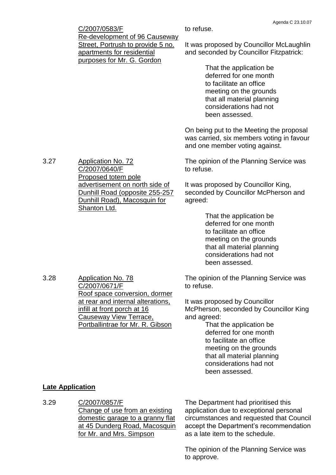|      | C/2007/0583/F                                                                                                                         | Aydriua U ZJ. 10.07<br>to refuse.                                                                                                                                                |
|------|---------------------------------------------------------------------------------------------------------------------------------------|----------------------------------------------------------------------------------------------------------------------------------------------------------------------------------|
|      | <b>Re-development of 96 Causeway</b><br>Street, Portrush to provide 5 no.<br>apartments for residential<br>purposes for Mr. G. Gordon | It was proposed by Councillor McLaughlin<br>and seconded by Councillor Fitzpatrick:                                                                                              |
|      |                                                                                                                                       | That the application be<br>deferred for one month<br>to facilitate an office<br>meeting on the grounds<br>that all material planning<br>considerations had not<br>been assessed. |
|      |                                                                                                                                       | On being put to the Meeting the proposal<br>was carried, six members voting in favour<br>and one member voting against.                                                          |
| 3.27 | <b>Application No. 72</b><br>C/2007/0640/F<br>Proposed totem pole                                                                     | The opinion of the Planning Service was<br>to refuse.                                                                                                                            |
|      | advertisement on north side of<br>Dunhill Road (opposite 255-257<br>Dunhill Road), Macosquin for<br>Shanton Ltd.                      | It was proposed by Councillor King,<br>seconded by Councillor McPherson and<br>agreed:                                                                                           |
|      |                                                                                                                                       | That the application be<br>deferred for one month<br>to facilitate an office                                                                                                     |

to facilitate an office meeting on the grounds that all material planning considerations had not been assessed.

The opinion of the Planning Service was to refuse.

It was proposed by Councillor McPherson, seconded by Councillor King and agreed:

That the application be deferred for one month to facilitate an office meeting on the grounds that all material planning considerations had not been assessed.

## **Late Application**

3.28 Application No. 78

C/2007/0671/F

Roof space conversion, dormer at rear and internal alterations,

Portballintrae for Mr. R. Gibson

infill at front porch at 16 Causeway View Terrace,

3.29 C/2007/0857/F Change of use from an existing domestic garage to a granny flat at 45 Dunderg Road, Macosquin for Mr. and Mrs. Simpson

The Department had prioritised this application due to exceptional personal circumstances and requested that Council accept the Department's recommendation as a late item to the schedule.

The opinion of the Planning Service was to approve.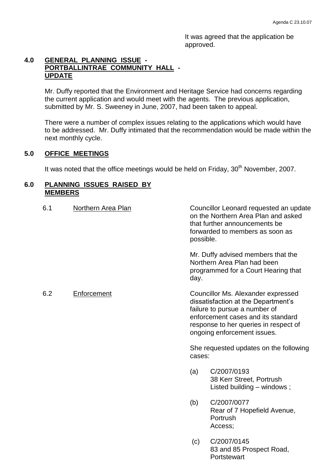It was agreed that the application be approved.

## **4.0 GENERAL PLANNING ISSUE - PORTBALLINTRAE COMMUNITY HALL - UPDATE**

Mr. Duffy reported that the Environment and Heritage Service had concerns regarding the current application and would meet with the agents. The previous application, submitted by Mr. S. Sweeney in June, 2007, had been taken to appeal.

There were a number of complex issues relating to the applications which would have to be addressed. Mr. Duffy intimated that the recommendation would be made within the next monthly cycle.

## **5.0 OFFICE MEETINGS**

It was noted that the office meetings would be held on Friday,  $30<sup>th</sup>$  November, 2007.

### **6.0 PLANNING ISSUES RAISED BY MEMBERS**

| 6.1 | Northern Area Plan | Councillor Leonard requested an update<br>on the Northern Area Plan and asked<br>that further announcements be<br>forwarded to members as soon as<br>possible. |                                                                                                                                                                                                                          |
|-----|--------------------|----------------------------------------------------------------------------------------------------------------------------------------------------------------|--------------------------------------------------------------------------------------------------------------------------------------------------------------------------------------------------------------------------|
|     |                    | day.                                                                                                                                                           | Mr. Duffy advised members that the<br>Northern Area Plan had been<br>programmed for a Court Hearing that                                                                                                                 |
| 6.2 | Enforcement        |                                                                                                                                                                | Councillor Ms. Alexander expressed<br>dissatisfaction at the Department's<br>failure to pursue a number of<br>enforcement cases and its standard<br>response to her queries in respect of<br>ongoing enforcement issues. |
|     |                    | cases:                                                                                                                                                         | She requested updates on the following                                                                                                                                                                                   |
|     |                    | (a)                                                                                                                                                            | C/2007/0193<br>38 Kerr Street, Portrush<br>Listed building – windows;                                                                                                                                                    |
|     |                    | (b)                                                                                                                                                            | C/2007/0077<br>Rear of 7 Hopefield Avenue,<br>Portrush<br>Access;                                                                                                                                                        |
|     |                    | (c)                                                                                                                                                            | C/2007/0145<br>83 and 85 Prospect Road,                                                                                                                                                                                  |

**Portstewart**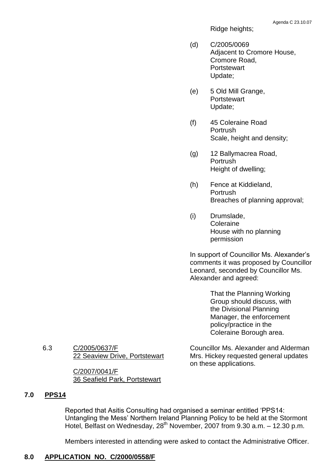Ridge heights;

- (d) C/2005/0069 Adjacent to Cromore House, Cromore Road, **Portstewart** Update;
- (e) 5 Old Mill Grange, **Portstewart** Update;
- (f) 45 Coleraine Road Portrush Scale, height and density;
- (g) 12 Ballymacrea Road, Portrush Height of dwelling;
- (h) Fence at Kiddieland, Portrush Breaches of planning approval;
- (i) Drumslade, Coleraine House with no planning permission

In support of Councillor Ms. Alexander's comments it was proposed by Councillor Leonard, seconded by Councillor Ms. Alexander and agreed:

> That the Planning Working Group should discuss, with the Divisional Planning Manager, the enforcement policy/practice in the Coleraine Borough area.

Councillor Ms. Alexander and Alderman Mrs. Hickey requested general updates on these applications.

6.3 C/2005/0637/F 22 Seaview Drive, Portstewart

> C/2007/0041/F 36 Seafield Park, Portstewart

## **7.0 PPS14**

Reported that Asitis Consulting had organised a seminar entitled 'PPS14: Untangling the Mess' Northern Ireland Planning Policy to be held at the Stormont Hotel, Belfast on Wednesday,  $28^{th}$  November, 2007 from 9.30 a.m.  $-12.30$  p.m.

Members interested in attending were asked to contact the Administrative Officer.

## **8.0 APPLICATION NO. C/2000/0558/F**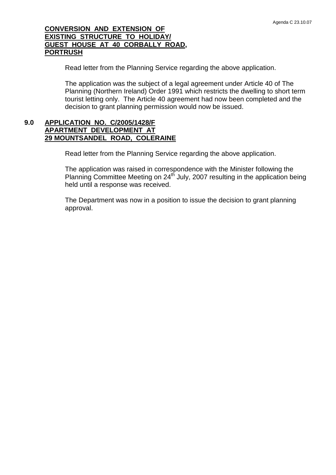## **CONVERSION AND EXTENSION OF EXISTING STRUCTURE TO HOLIDAY/ GUEST HOUSE AT 40 CORBALLY ROAD, PORTRUSH**

Read letter from the Planning Service regarding the above application.

The application was the subject of a legal agreement under Article 40 of The Planning (Northern Ireland) Order 1991 which restricts the dwelling to short term tourist letting only. The Article 40 agreement had now been completed and the decision to grant planning permission would now be issued.

## **9.0 APPLICATION NO. C/2005/1428/F APARTMENT DEVELOPMENT AT 29 MOUNTSANDEL ROAD, COLERAINE**

Read letter from the Planning Service regarding the above application.

The application was raised in correspondence with the Minister following the Planning Committee Meeting on  $24<sup>th</sup>$  July, 2007 resulting in the application being held until a response was received.

The Department was now in a position to issue the decision to grant planning approval.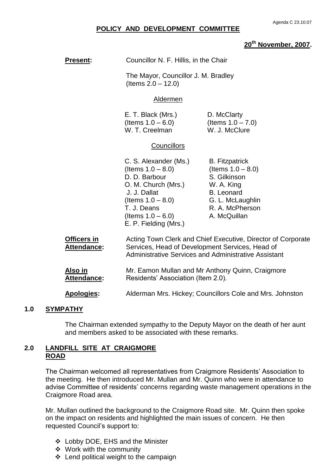#### **POLICY AND DEVELOPMENT COMMITTEE**

## **20th November, 2007.**

| <b>Present:</b>                                                                                                      | Councillor N. F. Hillis, in the Chair                                                                                                                                                         |                                                                                                                                                         |  |
|----------------------------------------------------------------------------------------------------------------------|-----------------------------------------------------------------------------------------------------------------------------------------------------------------------------------------------|---------------------------------------------------------------------------------------------------------------------------------------------------------|--|
|                                                                                                                      | The Mayor, Councillor J. M. Bradley<br>(Items $2.0 - 12.0$ )                                                                                                                                  |                                                                                                                                                         |  |
|                                                                                                                      | Aldermen                                                                                                                                                                                      |                                                                                                                                                         |  |
| E. T. Black (Mrs.)<br>D. McClarty<br>(Items $1.0 - 7.0$ )<br>(Items $1.0 - 6.0$ )<br>W. T. Creelman<br>W. J. McClure |                                                                                                                                                                                               |                                                                                                                                                         |  |
|                                                                                                                      | <b>Councillors</b>                                                                                                                                                                            |                                                                                                                                                         |  |
|                                                                                                                      | C. S. Alexander (Ms.)<br>(Items $1.0 - 8.0$ )<br>D. D. Barbour<br>O. M. Church (Mrs.)<br>J. J. Dallat<br>(Items $1.0 - 8.0$ )<br>T. J. Deans<br>(Items $1.0 - 6.0$ )<br>E. P. Fielding (Mrs.) | <b>B.</b> Fitzpatrick<br>(Items $1.0 - 8.0$ )<br>S. Gilkinson<br>W. A. King<br><b>B.</b> Leonard<br>G. L. McLaughlin<br>R. A. McPherson<br>A. McQuillan |  |
| Officers in<br><b>Attendance:</b>                                                                                    | Acting Town Clerk and Chief Executive, Director of Corporate<br>Services, Head of Development Services, Head of<br><b>Administrative Services and Administrative Assistant</b>                |                                                                                                                                                         |  |
| <u>Also in</u><br><b>Attendance:</b>                                                                                 | Mr. Eamon Mullan and Mr Anthony Quinn, Craigmore<br>Residents' Association (Item 2.0).                                                                                                        |                                                                                                                                                         |  |
| <b>Apologies:</b>                                                                                                    | Alderman Mrs. Hickey; Councillors Cole and Mrs. Johnston                                                                                                                                      |                                                                                                                                                         |  |

#### **1.0 SYMPATHY**

The Chairman extended sympathy to the Deputy Mayor on the death of her aunt and members asked to be associated with these remarks.

### **2.0 LANDFILL SITE AT CRAIGMORE ROAD**

The Chairman welcomed all representatives from Craigmore Residents' Association to the meeting. He then introduced Mr. Mullan and Mr. Quinn who were in attendance to advise Committee of residents' concerns regarding waste management operations in the Craigmore Road area.

Mr. Mullan outlined the background to the Craigmore Road site. Mr. Quinn then spoke on the impact on residents and highlighted the main issues of concern. He then requested Council's support to:

- Lobby DOE, EHS and the Minister
- Work with the community
- $\div$  Lend political weight to the campaign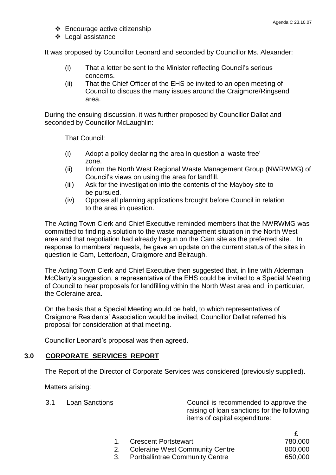- Encourage active citizenship
- ❖ Legal assistance

It was proposed by Councillor Leonard and seconded by Councillor Ms. Alexander:

- (i) That a letter be sent to the Minister reflecting Council's serious concerns.
- (ii) That the Chief Officer of the EHS be invited to an open meeting of Council to discuss the many issues around the Craigmore/Ringsend area.

During the ensuing discussion, it was further proposed by Councillor Dallat and seconded by Councillor McLaughlin:

That Council:

- $(i)$  Adopt a policy declaring the area in question a 'waste free' zone.
- (ii) Inform the North West Regional Waste Management Group (NWRWMG) of Council's views on using the area for landfill.
- (iii) Ask for the investigation into the contents of the Mayboy site to be pursued.
- (iv) Oppose all planning applications brought before Council in relation to the area in question.

The Acting Town Clerk and Chief Executive reminded members that the NWRWMG was committed to finding a solution to the waste management situation in the North West area and that negotiation had already begun on the Cam site as the preferred site. In response to members' requests, he gave an update on the current status of the sites in question ie Cam, Letterloan, Craigmore and Belraugh.

The Acting Town Clerk and Chief Executive then suggested that, in line with Alderman McClarty's suggestion, a representative of the EHS could be invited to a Special Meeting of Council to hear proposals for landfilling within the North West area and, in particular, the Coleraine area.

On the basis that a Special Meeting would be held, to which representatives of Craigmore Residents' Association would be invited, Councillor Dallat referred his proposal for consideration at that meeting.

Councillor Leonard's proposal was then agreed.

## **3.0 CORPORATE SERVICES REPORT**

The Report of the Director of Corporate Services was considered (previously supplied).

Matters arising:

3.1 Loan Sanctions Council is recommended to approve the raising of loan sanctions for the following items of capital expenditure:

£

| 1. Crescent Portstewart            | 780,000 |
|------------------------------------|---------|
| 2. Coleraine West Community Centre | 800,000 |
| 3. Portballintrae Community Centre | 650,000 |
|                                    |         |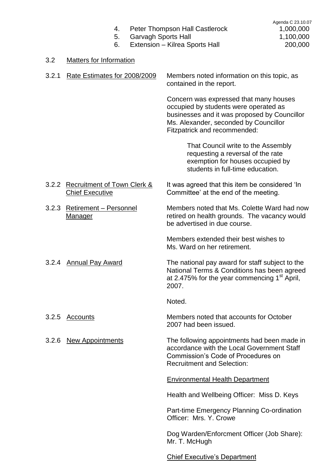| 4. |  | <b>Peter Thompson Hall Castlerock</b> |
|----|--|---------------------------------------|

5. Garvagh Sports Hall 1,100,000

### 3.2 Matters for Information

| 3.2.1 Rate Estimates for 2008/2009 | Members noted information on this topic, as<br>contained in the report. |
|------------------------------------|-------------------------------------------------------------------------|
|                                    |                                                                         |

Concern was expressed that many houses occupied by students were operated as businesses and it was proposed by Councillor Ms. Alexander, seconded by Councillor Fitzpatrick and recommended:

> That Council write to the Assembly requesting a reversal of the rate exemption for houses occupied by students in full-time education.

- 3.2.2 Recruitment of Town Clerk & It was agreed that this item be considered 'In Chief Executive Committee' at the end of the meeting.
- 3.2.3 Retirement –Personnel Members noted that Ms. Colette Ward had now Manager manufactured on health grounds. The vacancy would

Members extended their best wishes to Ms. Ward on her retirement.

be advertised in due course.

3.2.4 Annual Pay Award The national pay award for staff subject to the National Terms & Conditions has been agreed at 2.475% for the year commencing  $1<sup>st</sup>$  April, 2007.

Noted.

3.2.5 Accounts Members noted that accounts for October 2007 had been issued.

3.2.6 New Appointments The following appointments had been made in accordance with the Local Government Staff Commission's Code of Procedures on Recruitment and Selection:

Environmental Health Department

Health and Wellbeing Officer: Miss D. Keys

Part-time Emergency Planning Co-ordination Officer: Mrs. Y. Crowe

Dog Warden/Enforcment Officer (Job Share): Mr. T. McHugh

Chief Executive's Department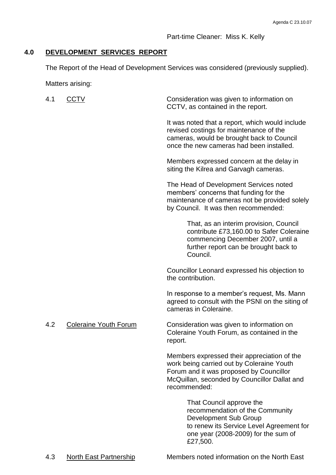Part-time Cleaner: Miss K. Kelly

## **4.0 DEVELOPMENT SERVICES REPORT**

The Report of the Head of Development Services was considered (previously supplied).

Matters arising:

| 4.1 | CCTV                         | Consideration was given to information on<br>CCTV, as contained in the report.                                                                                                                      |
|-----|------------------------------|-----------------------------------------------------------------------------------------------------------------------------------------------------------------------------------------------------|
|     |                              | It was noted that a report, which would include<br>revised costings for maintenance of the<br>cameras, would be brought back to Council<br>once the new cameras had been installed.                 |
|     |                              | Members expressed concern at the delay in<br>siting the Kilrea and Garvagh cameras.                                                                                                                 |
|     |                              | The Head of Development Services noted<br>members' concerns that funding for the<br>maintenance of cameras not be provided solely<br>by Council. It was then recommended:                           |
|     |                              | That, as an interim provision, Council<br>contribute £73,160.00 to Safer Coleraine<br>commencing December 2007, until a<br>further report can be brought back to<br>Council.                        |
|     |                              | Councillor Leonard expressed his objection to<br>the contribution.                                                                                                                                  |
|     |                              | In response to a member's request, Ms. Mann<br>agreed to consult with the PSNI on the siting of<br>cameras in Coleraine.                                                                            |
| 4.2 | <b>Coleraine Youth Forum</b> | Consideration was given to information on<br>Coleraine Youth Forum, as contained in the<br>report.                                                                                                  |
|     |                              | Members expressed their appreciation of the<br>work being carried out by Coleraine Youth<br>Forum and it was proposed by Councillor<br>McQuillan, seconded by Councillor Dallat and<br>recommended: |
|     |                              | That Council approve the<br>recommendation of the Community<br>Development Sub Group<br>to renew its Service Level Agreement for<br>one year (2008-2009) for the sum of<br>£27,500.                 |

4.3 North East Partnership Members noted information on the North East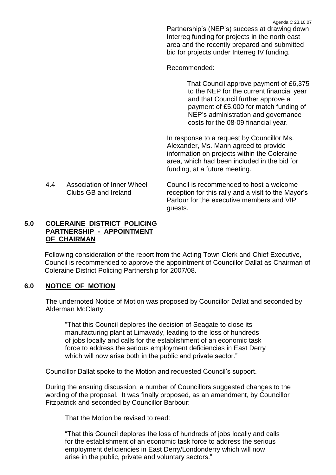Agenda C 23.10.07

Partnership's (NEP's) success at drawing down Interreg funding for projects in the north east area and the recently prepared and submitted bid for projects under Interreg IV funding.

Recommended:

That Council approve payment of £6,375 to the NEP for the current financial year and that Council further approve a payment of £5,000 for match funding of NEP's administration and governance costs for the 08-09 financial year.

In response to a request by Councillor Ms. Alexander, Ms. Mann agreed to provide information on projects within the Coleraine area, which had been included in the bid for funding, at a future meeting.

4.4 Association of Inner Wheel Council is recommended to host a welcome Clubs GB and Ireland reception for this rally and a visit to the Mayor's Parlour for the executive members and VIP guests.

## **5.0 COLERAINE DISTRICT POLICING PARTNERSHIP - APPOINTMENT OF CHAIRMAN**

Following consideration of the report from the Acting Town Clerk and Chief Executive, Council is recommended to approve the appointment of Councillor Dallat as Chairman of Coleraine District Policing Partnership for 2007/08.

## **6.0 NOTICE OF MOTION**

The undernoted Notice of Motion was proposed by Councillor Dallat and seconded by Alderman McClarty:

"That this Council deplores the decision of Seagate to close its manufacturing plant at Limavady, leading to the loss of hundreds of jobs locally and calls for the establishment of an economic task force to address the serious employment deficiencies in East Derry which will now arise both in the public and private sector."

Councillor Dallat spoke to the Motion and requested Council's support.

During the ensuing discussion, a number of Councillors suggested changes to the wording of the proposal. It was finally proposed, as an amendment, by Councillor Fitzpatrick and seconded by Councillor Barbour:

That the Motion be revised to read:

"That this Council deplores the loss of hundreds of jobs locally and calls for the establishment of an economic task force to address the serious employment deficiencies in East Derry/Londonderry which will now arise in the public, private and voluntary sectors."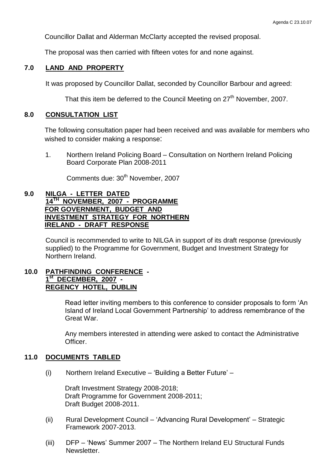Councillor Dallat and Alderman McClarty accepted the revised proposal.

The proposal was then carried with fifteen votes for and none against.

## **7.0 LAND AND PROPERTY**

It was proposed by Councillor Dallat, seconded by Councillor Barbour and agreed:

That this item be deferred to the Council Meeting on 27<sup>th</sup> November, 2007.

### **8.0 CONSULTATION LIST**

The following consultation paper had been received and was available for members who wished to consider making a response:

1. Northern Ireland Policing Board –Consultation on Northern Ireland Policing Board Corporate Plan 2008-2011

Comments due: 30<sup>th</sup> November, 2007

## **9.0 NILGA - LETTER DATED 14TH NOVEMBER, 2007 - PROGRAMME FOR GOVERNMENT, BUDGET AND INVESTMENT STRATEGY FOR NORTHERN IRELAND - DRAFT RESPONSE**

Council is recommended to write to NILGA in support of its draft response (previously supplied) to the Programme for Government, Budget and Investment Strategy for Northern Ireland.

### **10.0 PATHFINDING CONFERENCE - 1 st DECEMBER, 2007 - REGENCY HOTEL, DUBLIN**

Read letter inviting members to this conference to consider proposals to form 'An Island of Ireland Local Government Partnership' to address remembrance of the Great War.

Any members interested in attending were asked to contact the Administrative Officer.

## **11.0 DOCUMENTS TABLED**

(i) Northern Ireland Executive – 'Building a Better Future' –

Draft Investment Strategy 2008-2018; Draft Programme for Government 2008-2011; Draft Budget 2008-2011.

- (ii) Rural Development Council 'Advancing Rural Development' Strategic Framework 2007-2013.
- (iii) DFP 'News' Summer 2007 The Northern Ireland EU Structural Funds Newsletter.